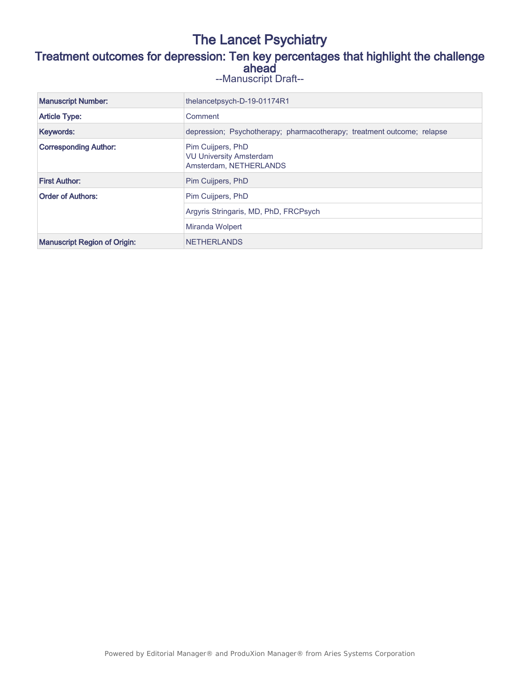# The Lancet Psychiatry Treatment outcomes for depression: Ten key percentages that highlight the challenge ahead

|  | --Manuscript Draft-- |  |  |
|--|----------------------|--|--|
|--|----------------------|--|--|

| <b>Manuscript Number:</b>           | thelancetpsych-D-19-01174R1                                                   |  |
|-------------------------------------|-------------------------------------------------------------------------------|--|
| <b>Article Type:</b>                | Comment                                                                       |  |
| Keywords:                           | depression; Psychotherapy; pharmacotherapy; treatment outcome; relapse        |  |
| <b>Corresponding Author:</b>        | Pim Cuijpers, PhD<br><b>VU University Amsterdam</b><br>Amsterdam, NETHERLANDS |  |
| <b>First Author:</b>                | Pim Cuijpers, PhD                                                             |  |
| <b>Order of Authors:</b>            | Pim Cuijpers, PhD                                                             |  |
|                                     | Argyris Stringaris, MD, PhD, FRCPsych                                         |  |
|                                     | Miranda Wolpert                                                               |  |
| <b>Manuscript Region of Origin:</b> | <b>NETHERLANDS</b>                                                            |  |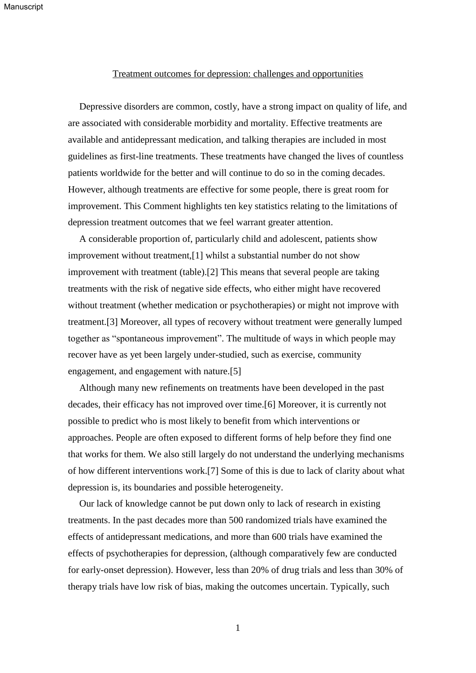### Treatment outcomes for depression: challenges and opportunities

Depressive disorders are common, costly, have a strong impact on quality of life, and are associated with considerable morbidity and mortality. Effective treatments are available and antidepressant medication, and talking therapies are included in most guidelines as first-line treatments. These treatments have changed the lives of countless patients worldwide for the better and will continue to do so in the coming decades. However, although treatments are effective for some people, there is great room for improvement. This Comment highlights ten key statistics relating to the limitations of depression treatment outcomes that we feel warrant greater attention.

A considerable proportion of, particularly child and adolescent, patients show improvement without treatment,[1] whilst a substantial number do not show improvement with treatment (table).[2] This means that several people are taking treatments with the risk of negative side effects, who either might have recovered without treatment (whether medication or psychotherapies) or might not improve with treatment.[3] Moreover, all types of recovery without treatment were generally lumped together as "spontaneous improvement". The multitude of ways in which people may recover have as yet been largely under-studied, such as exercise, community engagement, and engagement with nature.[5]

Although many new refinements on treatments have been developed in the past decades, their efficacy has not improved over time.[6] Moreover, it is currently not possible to predict who is most likely to benefit from which interventions or approaches. People are often exposed to different forms of help before they find one that works for them. We also still largely do not understand the underlying mechanisms of how different interventions work.[7] Some of this is due to lack of clarity about what depression is, its boundaries and possible heterogeneity.

Our lack of knowledge cannot be put down only to lack of research in existing treatments. In the past decades more than 500 randomized trials have examined the effects of antidepressant medications, and more than 600 trials have examined the effects of psychotherapies for depression, (although comparatively few are conducted for early-onset depression). However, less than 20% of drug trials and less than 30% of therapy trials have low risk of bias, making the outcomes uncertain. Typically, such

1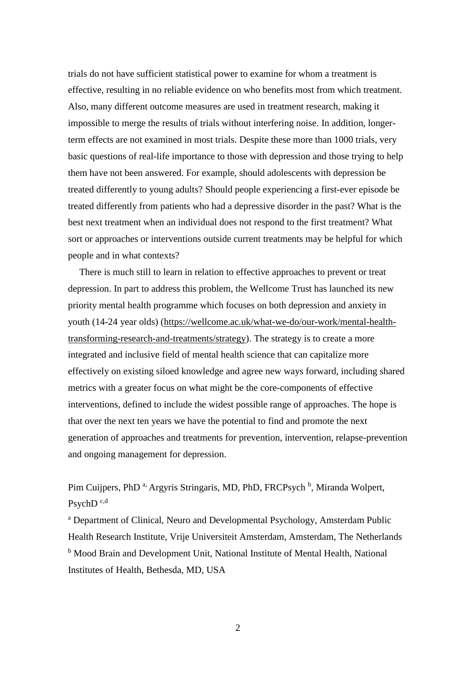trials do not have sufficient statistical power to examine for whom a treatment is effective, resulting in no reliable evidence on who benefits most from which treatment. Also, many different outcome measures are used in treatment research, making it impossible to merge the results of trials without interfering noise. In addition, longerterm effects are not examined in most trials. Despite these more than 1000 trials, very basic questions of real-life importance to those with depression and those trying to help them have not been answered. For example, should adolescents with depression be treated differently to young adults? Should people experiencing a first-ever episode be treated differently from patients who had a depressive disorder in the past? What is the best next treatment when an individual does not respond to the first treatment? What sort or approaches or interventions outside current treatments may be helpful for which people and in what contexts?

There is much still to learn in relation to effective approaches to prevent or treat depression. In part to address this problem, the Wellcome Trust has launched its new priority mental health programme which focuses on both depression and anxiety in youth (14-24 year olds) [\(https://wellcome.ac.uk/what-we-do/our-work/mental-health](https://wellcome.ac.uk/what-we-do/our-work/mental-health-transforming-research-and-treatments/strategy)[transforming-research-and-treatments/strategy\)](https://wellcome.ac.uk/what-we-do/our-work/mental-health-transforming-research-and-treatments/strategy). The strategy is to create a more integrated and inclusive field of mental health science that can capitalize more effectively on existing siloed knowledge and agree new ways forward, including shared metrics with a greater focus on what might be the core-components of effective interventions, defined to include the widest possible range of approaches. The hope is that over the next ten years we have the potential to find and promote the next generation of approaches and treatments for prevention, intervention, relapse-prevention and ongoing management for depression.

Pim Cuijpers, PhD<sup>a,</sup> Argyris Stringaris, MD, PhD, FRCPsych<sup>b</sup>, Miranda Wolpert, PsychD<sup>c,d</sup>

<sup>a</sup> Department of Clinical, Neuro and Developmental Psychology, Amsterdam Public Health Research Institute, Vrije Universiteit Amsterdam, Amsterdam, The Netherlands <sup>b</sup> Mood Brain and Development Unit, National Institute of Mental Health, National Institutes of Health, Bethesda, MD, USA

2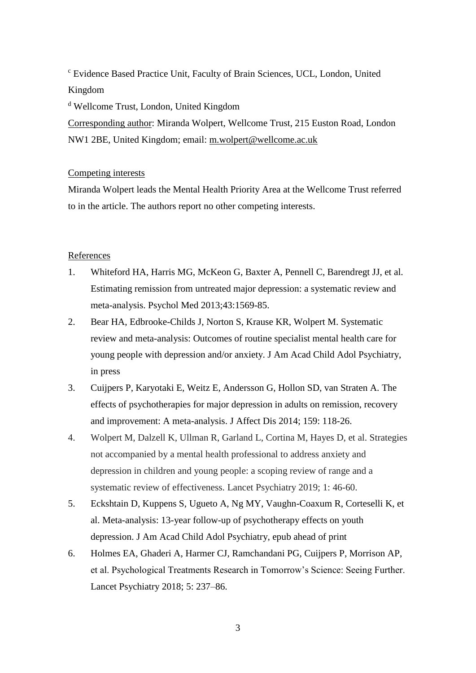<sup>c</sup> Evidence Based Practice Unit, Faculty of Brain Sciences, UCL, London, United Kingdom

<sup>d</sup> Wellcome Trust, London, United Kingdom

Corresponding author: Miranda Wolpert, Wellcome Trust, 215 Euston Road, London NW1 2BE, United Kingdom; email: [m.wolpert@wellcome.ac.uk](mailto:m.wolpert@wellcome.ac.uk)

# Competing interests

Miranda Wolpert leads the Mental Health Priority Area at the Wellcome Trust referred to in the article. The authors report no other competing interests.

# References

- 1. Whiteford HA, Harris MG, McKeon G, Baxter A, Pennell C, Barendregt JJ, et al. Estimating remission from untreated major depression: a systematic review and meta-analysis. Psychol Med 2013;43:1569-85.
- 2. Bear HA, Edbrooke-Childs J, Norton S, Krause KR, Wolpert M. Systematic review and meta-analysis: Outcomes of routine specialist mental health care for young people with depression and/or anxiety. J Am Acad Child Adol Psychiatry, in press
- 3. Cuijpers P, Karyotaki E, Weitz E, Andersson G, Hollon SD, van Straten A. The effects of psychotherapies for major depression in adults on remission, recovery and improvement: A meta-analysis. J Affect Dis 2014; 159: 118-26.
- 4. Wolpert M, Dalzell K, Ullman R, Garland L, Cortina M, Hayes D, et al. Strategies not accompanied by a mental health professional to address anxiety and depression in children and young people: a scoping review of range and a systematic review of effectiveness. Lancet Psychiatry 2019; 1: 46-60.
- 5. Eckshtain D, Kuppens S, Ugueto A, Ng MY, Vaughn-Coaxum R, Corteselli K, et al. Meta-analysis: 13-year follow-up of psychotherapy effects on youth depression. J Am Acad Child Adol Psychiatry, epub ahead of print
- 6. Holmes EA, Ghaderi A, Harmer CJ, Ramchandani PG, Cuijpers P, Morrison AP, et al. Psychological Treatments Research in Tomorrow's Science: Seeing Further. Lancet Psychiatry 2018; 5: 237–86.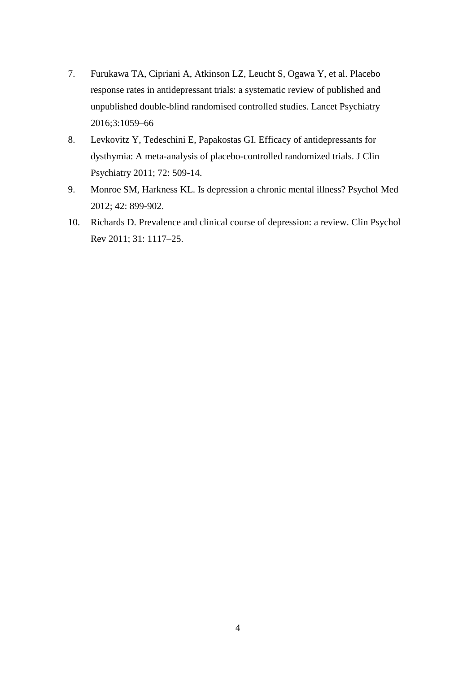- 7. Furukawa TA, Cipriani A, Atkinson LZ, Leucht S, Ogawa Y, et al. Placebo response rates in antidepressant trials: a systematic review of published and unpublished double-blind randomised controlled studies. Lancet Psychiatry 2016;3:1059–66
- 8. Levkovitz Y, Tedeschini E, Papakostas GI. Efficacy of antidepressants for dysthymia: A meta-analysis of placebo-controlled randomized trials. J Clin Psychiatry 2011; 72: 509-14.
- 9. Monroe SM, Harkness KL. Is depression a chronic mental illness? Psychol Med 2012; 42: 899-902.
- 10. Richards D. Prevalence and clinical course of depression: a review. Clin Psychol Rev 2011; 31: 1117–25.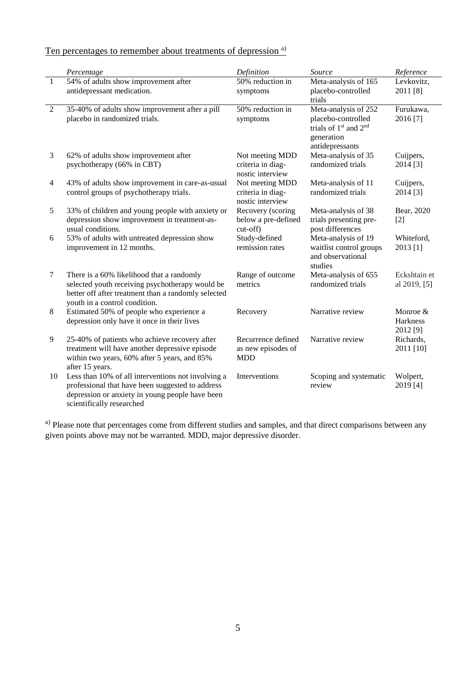| Ten percentages to remember about treatments of depression <sup>a)</sup> |  |
|--------------------------------------------------------------------------|--|
|--------------------------------------------------------------------------|--|

|                | Percentage                                                                                                                                                                             | Definition                                               | Source                                                                                                                       | Reference                        |
|----------------|----------------------------------------------------------------------------------------------------------------------------------------------------------------------------------------|----------------------------------------------------------|------------------------------------------------------------------------------------------------------------------------------|----------------------------------|
| $\mathbf{1}$   | 54% of adults show improvement after<br>antidepressant medication.                                                                                                                     | 50% reduction in<br>symptoms                             | Meta-analysis of 165<br>placebo-controlled<br>trials                                                                         | Levkovitz,<br>2011 [8]           |
| $\overline{2}$ | 35-40% of adults show improvement after a pill<br>placebo in randomized trials.                                                                                                        | 50% reduction in<br>symptoms                             | Meta-analysis of 252<br>placebo-controlled<br>trials of 1 <sup>st</sup> and 2 <sup>nd</sup><br>generation<br>antidepressants | Furukawa,<br>2016 [7]            |
| 3              | 62% of adults show improvement after<br>psychotherapy (66% in CBT)                                                                                                                     | Not meeting MDD<br>criteria in diag-<br>nostic interview | Meta-analysis of 35<br>randomized trials                                                                                     | Cuijpers,<br>2014 [3]            |
| $\overline{4}$ | 43% of adults show improvement in care-as-usual<br>control groups of psychotherapy trials.                                                                                             | Not meeting MDD<br>criteria in diag-<br>nostic interview | Meta-analysis of 11<br>randomized trials                                                                                     | Cuijpers,<br>2014 [3]            |
| 5              | 33% of children and young people with anxiety or<br>depression show improvement in treatment-as-<br>usual conditions.                                                                  | Recovery (scoring<br>below a pre-defined<br>$cut-off)$   | Meta-analysis of 38<br>trials presenting pre-<br>post differences                                                            | Bear, 2020<br>$[2]$              |
| 6              | 53% of adults with untreated depression show<br>improvement in 12 months.                                                                                                              | Study-defined<br>remission rates                         | Meta-analysis of 19<br>waitlist control groups<br>and observational<br>studies                                               | Whiteford,<br>2013 [1]           |
| $\tau$         | There is a 60% likelihood that a randomly<br>selected youth receiving psychotherapy would be<br>better off after treatment than a randomly selected<br>youth in a control condition.   | Range of outcome<br>metrics                              | Meta-analysis of 655<br>randomized trials                                                                                    | Eckshtain et<br>al 2019, [5]     |
| $\,8\,$        | Estimated 50% of people who experience a<br>depression only have it once in their lives                                                                                                | Recovery                                                 | Narrative review                                                                                                             | Monroe &<br>Harkness<br>2012 [9] |
| 9              | 25-40% of patients who achieve recovery after<br>treatment will have another depressive episode<br>within two years, 60% after 5 years, and 85%<br>after 15 years.                     | Recurrence defined<br>as new episodes of<br><b>MDD</b>   | Narrative review                                                                                                             | Richards,<br>2011 [10]           |
| 10             | Less than 10% of all interventions not involving a<br>professional that have been suggested to address<br>depression or anxiety in young people have been<br>scientifically researched | Interventions                                            | Scoping and systematic<br>review                                                                                             | Wolpert,<br>2019 [4]             |

<sup>a)</sup> Please note that percentages come from different studies and samples, and that direct comparisons between any given points above may not be warranted. MDD, major depressive disorder.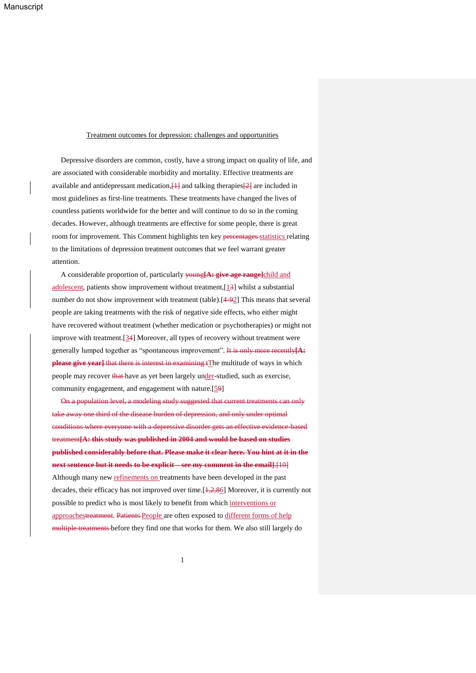#### Treatment outcomes for depression: challenges and opportunities

Depressive disorders are common, costly, have a strong impact on quality of life, and are associated with considerable morbidity and mortality. Effective treatments are available and antidepressant medication, $\frac{11}{11}$  and talking therapies $\frac{21}{21}$  are included in most guidelines as first-line treatments. These treatments have changed the lives of countless patients worldwide for the better and will continue to do so in the coming decades. However, although treatments are effective for some people, there is great room for improvement. This Comment highlights ten key percentages statistics relating to the limitations of depression treatment outcomes that we feel warrant greater attention.

A considerable proportion of, particularly young**[A: give age range]**child and adolescent, patients show improvement without treatment,[13] whilst a substantial number do not show improvement with treatment (table).[4-92] This means that several people are taking treatments with the risk of negative side effects, who either might have recovered without treatment (whether medication or psychotherapies) or might not improve with treatment.[34] Moreover, all types of recovery without treatment were generally lumped together as "spontaneous improvement". It is only more recently**[A: please give year**] that there is interest in examining tThe multitude of ways in which people may recover that have as yet been largely under-studied, such as exercise, community engagement, and engagement with nature.[59]

On a population level, a modeling study suggested that current treatments can only take away one third of the disease burden of depression, and only under optimal conditions where everyone with a depressive disorder gets an effective evidence-based treatment**[A: this study was published in 2004 and would be based on studies published considerably before that. Please make it clear here. You hint at it in the next sentence but it needs to be explicit – see my comment in the email]**.[10] Although many new refinements on treatments have been developed in the past decades, their efficacy has not improved over time. $[\frac{1}{2}, \frac{2}{2}, \frac{86}{6}]$  Moreover, it is currently not possible to predict who is most likely to benefit from which interventions or approachestreatment. Patients People are often exposed to different forms of help multiple treatments before they find one that works for them. We also still largely do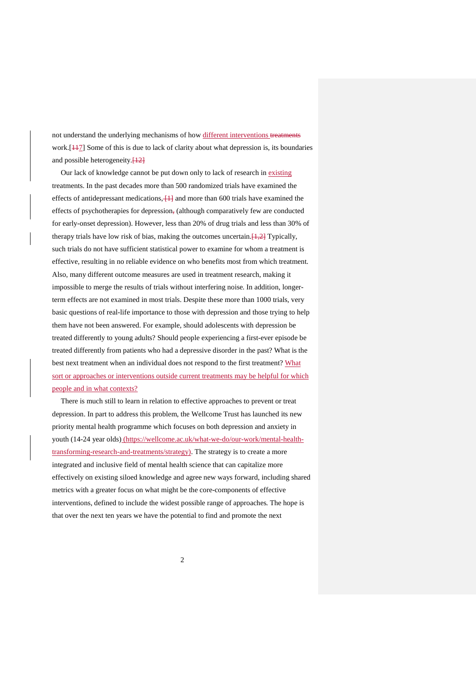not understand the underlying mechanisms of how different interventions treatments work.<sup>[117]</sup> Some of this is due to lack of clarity about what depression is, its boundaries and possible heterogeneity.<sup>[12]</sup>

Our lack of knowledge cannot be put down only to lack of research in existing treatments. In the past decades more than 500 randomized trials have examined the effects of antidepressant medications,  $\frac{11}{11}$  and more than 600 trials have examined the effects of psychotherapies for depression, (although comparatively few are conducted for early-onset depression). However, less than 20% of drug trials and less than 30% of therapy trials have low risk of bias, making the outcomes uncertain. $[1,2]$  Typically, such trials do not have sufficient statistical power to examine for whom a treatment is effective, resulting in no reliable evidence on who benefits most from which treatment. Also, many different outcome measures are used in treatment research, making it impossible to merge the results of trials without interfering noise. In addition, longerterm effects are not examined in most trials. Despite these more than 1000 trials, very basic questions of real-life importance to those with depression and those trying to help them have not been answered. For example, should adolescents with depression be treated differently to young adults? Should people experiencing a first-ever episode be treated differently from patients who had a depressive disorder in the past? What is the best next treatment when an individual does not respond to the first treatment? What sort or approaches or interventions outside current treatments may be helpful for which people and in what contexts?

There is much still to learn in relation to effective approaches to prevent or treat depression. In part to address this problem, the Wellcome Trust has launched its new priority mental health programme which focuses on both depression and anxiety in youth (14-24 year olds) [\(https://wellcome.ac.uk/what-we-do/our-work/mental-health](https://wellcome.ac.uk/what-we-do/our-work/mental-health-transforming-research-and-treatments/strategy)[transforming-research-and-treatments/strategy\)](https://wellcome.ac.uk/what-we-do/our-work/mental-health-transforming-research-and-treatments/strategy). The strategy is to create a more integrated and inclusive field of mental health science that can capitalize more effectively on existing siloed knowledge and agree new ways forward, including shared metrics with a greater focus on what might be the core-components of effective interventions, defined to include the widest possible range of approaches. The hope is that over the next ten years we have the potential to find and promote the next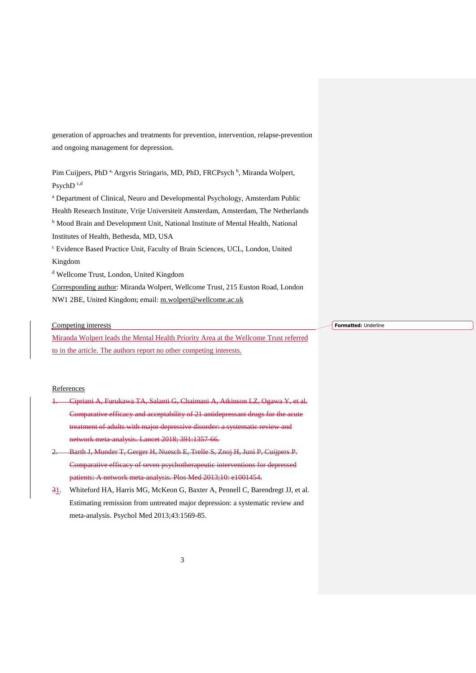generation of approaches and treatments for prevention, intervention, relapse-prevention and ongoing management for depression.

Pim Cuijpers, PhD<sup>a,</sup> Argyris Stringaris, MD, PhD, FRCPsych<sup>b</sup>, Miranda Wolpert, PsychD<sup>c,d</sup>

<sup>a</sup> Department of Clinical, Neuro and Developmental Psychology, Amsterdam Public Health Research Institute, Vrije Universiteit Amsterdam, Amsterdam, The Netherlands <sup>b</sup> Mood Brain and Development Unit, National Institute of Mental Health, National Institutes of Health, Bethesda, MD, USA <sup>c</sup> Evidence Based Practice Unit, Faculty of Brain Sciences, UCL, London, United Kingdom

<sup>d</sup> Wellcome Trust, London, United Kingdom

Corresponding author: Miranda Wolpert, Wellcome Trust, 215 Euston Road, London NW1 2BE, United Kingdom; email: [m.wolpert@wellcome.ac.uk](mailto:m.wolpert@wellcome.ac.uk)

Competing interests

Miranda Wolpert leads the Mental Health Priority Area at the Wellcome Trust referred to in the article. The authors report no other competing interests.

### References

- 1. Cipriani A, Furukawa TA, Salanti G, Chaimani A, Atkinson LZ, Ogawa Y, et al. Comparative efficacy and acceptability of 21 antidepressant drugs for the acute treatment of adults with major depressive disorder: a systematic review and network meta-analysis. Lancet 2018; 391:1357-66.
- 2. Barth J, Munder T, Gerger H, Nuesch E, Trelle S, Znoj H, Juni P, Cuijpers P. Comparative efficacy of seven psychotherapeutic interventions for depressed patients: A network meta-analysis. Plos Med 2013;10: e1001454.
- 31. Whiteford HA, Harris MG, McKeon G, Baxter A, Pennell C, Barendregt JJ, et al. Estimating remission from untreated major depression: a systematic review and meta-analysis. Psychol Med 2013;43:1569-85.

**Formatted:** Underline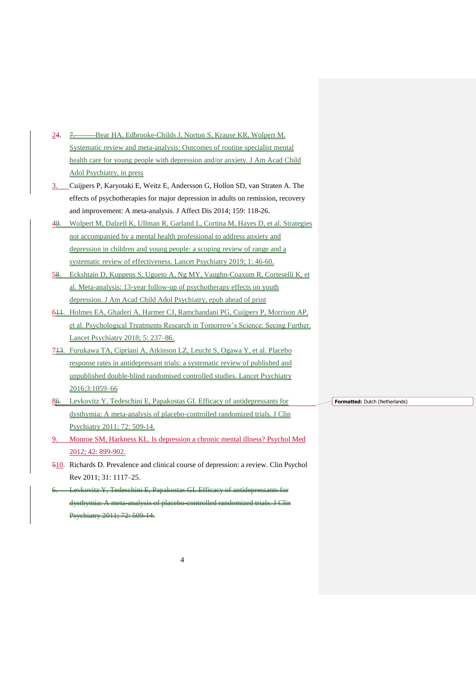- 24. <del>7. Bear HA, Edbrooke-Childs J, Norton S, Krause KR, Wolpert</del> M. Systematic review and meta-analysis: Outcomes of routine specialist mental health care for young people with depression and/or anxiety. J Am Acad Child Adol Psychiatry, in press
- 3. Cuijpers P, Karyotaki E, Weitz E, Andersson G, Hollon SD, van Straten A. The effects of psychotherapies for major depression in adults on remission, recovery and improvement: A meta-analysis. J Affect Dis 2014; 159: 118-26.
- 49. Wolpert M, Dalzell K, Ullman R, Garland L, Cortina M, Hayes D, et al. Strategies not accompanied by a mental health professional to address anxiety and depression in children and young people: a scoping review of range and a systematic review of effectiveness. Lancet Psychiatry 2019; 1: 46-60.
- 58. Eckshtain D, Kuppens S, Ugueto A, Ng MY, Vaughn-Coaxum R, Corteselli K, et al. Meta-analysis: 13-year follow-up of psychotherapy effects on youth depression. J Am Acad Child Adol Psychiatry, epub ahead of print
- 611. Holmes EA, Ghaderi A, Harmer CJ, Ramchandani PG, Cuijpers P, Morrison AP, et al. Psychological Treatments Research in Tomorrow's Science: Seeing Further. Lancet Psychiatry 2018; 5: 237–86.
- 713. Furukawa TA, Cipriani A, Atkinson LZ, Leucht S, Ogawa Y, et al. Placebo response rates in antidepressant trials: a systematic review of published and unpublished double-blind randomised controlled studies. Lancet Psychiatry 2016;3:1059–66
- 86. Levkovitz Y, Tedeschini E, Papakostas GI. Efficacy of antidepressants for dysthymia: A meta-analysis of placebo-controlled randomized trials. J Clin Psychiatry 2011; 72: 509-14.
- 9. Monroe SM, Harkness KL. Is depression a chronic mental illness? Psychol Med 2012; 42: 899-902.
- 510. Richards D. Prevalence and clinical course of depression: a review. Clin Psychol Rev 2011; 31: 1117–25.
- 6. Levkovitz Y, Tedeschini E, Papakostas GI. Efficacy of antidepressants for dysthymia: A meta-analysis of placebo-controlled randomized trials Psychiatry 2011; 72: 509-14.

**Formatted:** Dutch (Netherlands)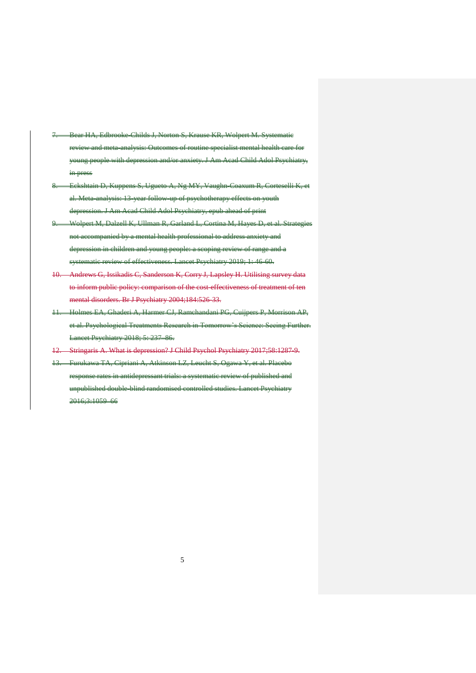- 7. Bear HA, Edbrooke-Childs J, Norton S, Krause KR, Wolpert M. Systematic review and meta-analysis: Outcomes of routine specialist mental health care for young people with depression and/or anxiety. J Am Acad Child Adol Psychiatry, in press
- 8. Eckshtain D, Kuppens S, Ugueto A, Ng MY, Vaughn-Coaxum R, Corteselli K, et al. Meta-analysis: 13-year follow-up of psychotherapy effects on youth depression. J Am Acad Child Adol Psychiatry, epub ahead of print
- 9. Wolpert M, Dalzell K, Ullman R, Garland L, Cortina M, Hayes D, et al. Strategies not accompanied by a mental health professional to address anxiety and depression in children and young people: a scoping review of range and a systematic review of effectiveness. Lancet Psychiatry 2019; 1: 46-60.
- 10. Andrews G, Issikadis C, Sanderson K, Corry J, Lapsley H. Utilising survey data to inform public policy: comparison of the cost-effectiveness of treatment of ten mental disorders. Br J Psychiatry 2004;184:526-33.
- 11. Holmes EA, Ghaderi A, Harmer CJ, Ramchandani PG, Cuijpers P, Morrison AP, et al. Psychological Treatments Research in Tomorrow's Science: Seeing Further. Lancet Psychiatry 2018; 5: 237–86.
- 12. Stringaris A. What is depression? J Child Psychol Psychiatry 2017;58:1287-9.
- 13. Furukawa TA, Cipriani A, Atkinson LZ, Leucht S, Ogawa Y, et al. Placebo response rates in antidepressant trials: a systematic review of published and unpublished double-blind randomised controlled studies. Lancet Psychiatry 2016;3:1059–66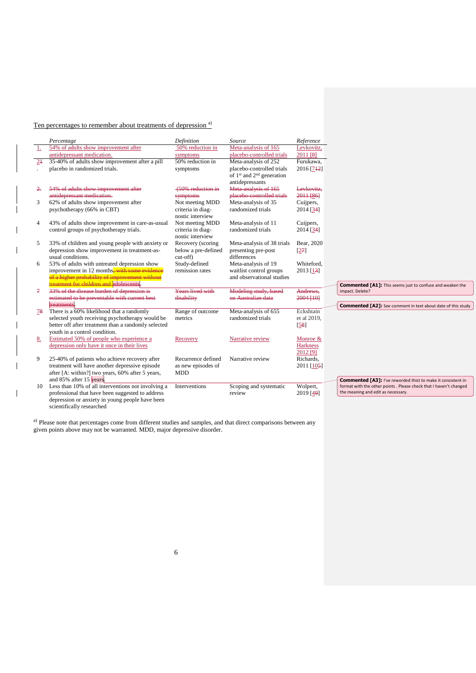# Ten percentages to remember about treatments of depression<sup>a)</sup>

 $\overline{\phantom{a}}$ 

|               | Percentage                                                         | Definition                      | Source                                            | Reference              |                                                                     |
|---------------|--------------------------------------------------------------------|---------------------------------|---------------------------------------------------|------------------------|---------------------------------------------------------------------|
| $\perp$       | 54% of adults show improvement after<br>antidepressant medication. | 50% reduction in                | Meta-analysis of 165<br>placebo-controlled trials | Levkovitz,<br>2011 [8] |                                                                     |
| $2+$          | 35-40% of adults show improvement after a pill                     | symptoms<br>50% reduction in    | Meta-analysis of 252                              | Furukawa.              |                                                                     |
|               | placebo in randomized trials.                                      | symptoms                        | placebo-controlled trials                         | 2016 [742]             |                                                                     |
|               |                                                                    |                                 | of $1st$ and $2nd$ generation                     |                        |                                                                     |
|               |                                                                    |                                 | antidepressants                                   |                        |                                                                     |
| 2.            | 54% of adults show improvement after                               | (50% reduction in               | Meta-analysis of 165                              | Levkovitz.             |                                                                     |
| 3             | antidepressant medication.<br>62% of adults show improvement after | symptoms<br>Not meeting MDD     | placebo-controlled trials<br>Meta-analysis of 35  | 2011[86]<br>Cuijpers,  |                                                                     |
|               | psychotherapy (66% in CBT)                                         | criteria in diag-               | randomized trials                                 | 2014 [34]              |                                                                     |
|               |                                                                    | nostic interview                |                                                   |                        |                                                                     |
| 4             | 43% of adults show improvement in care-as-usual                    | Not meeting MDD                 | Meta-analysis of 11                               | Cuijpers,              |                                                                     |
|               | control groups of psychotherapy trials.                            | criteria in diag-               | randomized trials                                 | 2014 [34]              |                                                                     |
|               |                                                                    | nostic interview                |                                                   |                        |                                                                     |
| 5             | 33% of children and young people with anxiety or                   | Recovery (scoring               | Meta-analysis of 38 trials                        | Bear, 2020             |                                                                     |
|               | depression show improvement in treatment-as-<br>usual conditions.  | below a pre-defined<br>cut-off) | presenting pre-post<br>differences                | [27]                   |                                                                     |
| 6             | 53% of adults with untreated depression show                       | Study-defined                   | Meta-analysis of 19                               | Whiteford.             |                                                                     |
|               | improvement in 12 months-with some evidence                        | remission rates                 | waitlist control groups                           | 2013 [13]              |                                                                     |
|               | of a higher probability of improvement without                     |                                 | and observational studies                         |                        |                                                                     |
|               | treatment for children and adolescents.                            |                                 |                                                   |                        | <b>Commented [A1]:</b> This seems just to confuse and weaken the    |
| $\mathcal{F}$ | 33% of the disease burden of depression is                         | Years lived with                | Modeling study, based                             | Andrews,               | impact. Delete?                                                     |
|               | estimated to be preventable with current best<br>treatments.       | disability                      | on Australian data                                | 2004 [10]              |                                                                     |
| 78            | There is a 60% likelihood that a randomly                          | Range of outcome                | Meta-analysis of 655                              | Eckshtain              | <b>Commented [A2]:</b> See comment in text about date of this study |
|               | selected youth receiving psychotherapy would be                    | metrics                         | randomized trials                                 | et al 2019,            |                                                                     |
|               | better off after treatment than a randomly selected                |                                 |                                                   | $[58]$                 |                                                                     |
|               | youth in a control condition.                                      |                                 |                                                   |                        |                                                                     |
| 8.            | Estimated 50% of people who experience a                           | Recovery                        | Narrative review                                  | Monroe &               |                                                                     |
|               | depression only have it once in their lives                        |                                 |                                                   | Harkness               |                                                                     |
| 9             | 25-40% of patients who achieve recovery after                      | Recurrence defined              | Narrative review                                  | 2012 [9]<br>Richards,  |                                                                     |
|               | treatment will have another depressive episode                     | as new episodes of              |                                                   | 2011 [105]             |                                                                     |
|               | after [A: within?] two years, 60% after 5 years,                   | <b>MDD</b>                      |                                                   |                        |                                                                     |
|               | and 85% after 15 years.                                            |                                 |                                                   |                        | <b>Commented [A3]:</b> I've reworded thist to make it consistent in |
| 10            | Less than 10% of all interventions not involving a                 | Interventions                   | Scoping and systematic                            | Wolpert,               | format with the other points . Please check that I haven't changed  |
|               | professional that have been suggested to address                   |                                 | review                                            | 2019 [49]              | the meaning and edit as necessary.                                  |
|               | depression or anxiety in young people have been                    |                                 |                                                   |                        |                                                                     |
|               | scientifically researched                                          |                                 |                                                   |                        |                                                                     |

a) Please note that percentages come from different studies and samples, and that direct comparisons between any given points above may not be warranted. MDD, major depressive disorder.